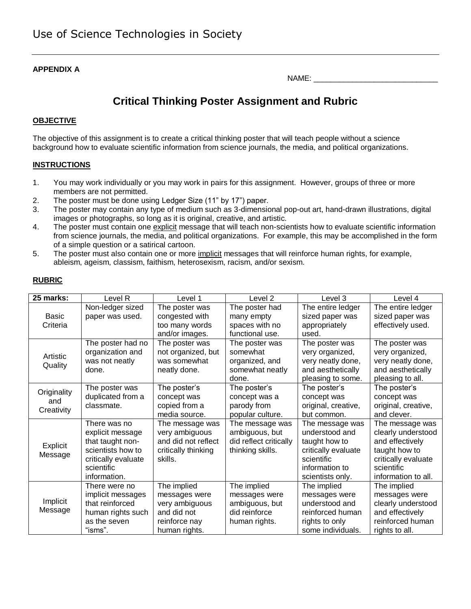#### **APPENDIX A**

# **Critical Thinking Poster Assignment and Rubric**

### **OBJECTIVE**

The objective of this assignment is to create a critical thinking poster that will teach people without a science background how to evaluate scientific information from science journals, the media, and political organizations.

#### **INSTRUCTIONS**

- 1. You may work individually or you may work in pairs for this assignment. However, groups of three or more members are not permitted.
- 2. The poster must be done using Ledger Size (11" by 17") paper.
- 3. The poster may contain any type of medium such as 3-dimensional pop-out art, hand-drawn illustrations, digital images or photographs, so long as it is original, creative, and artistic.
- 4. The poster must contain one explicit message that will teach non-scientists how to evaluate scientific information from science journals, the media, and political organizations. For example, this may be accomplished in the form of a simple question or a satirical cartoon.
- 5. The poster must also contain one or more *implicit* messages that will reinforce human rights, for example, ableism, ageism, classism, faithism, heterosexism, racism, and/or sexism.

#### **RUBRIC**

| 25 marks:                        | Level R             | Level 1             | Level <sub>2</sub>     | Level 3             | Level 4             |
|----------------------------------|---------------------|---------------------|------------------------|---------------------|---------------------|
|                                  | Non-ledger sized    | The poster was      | The poster had         | The entire ledger   | The entire ledger   |
| <b>Basic</b>                     | paper was used.     | congested with      | many empty             | sized paper was     | sized paper was     |
| Criteria                         |                     | too many words      | spaces with no         | appropriately       | effectively used.   |
|                                  |                     | and/or images.      | functional use.        | used.               |                     |
|                                  | The poster had no   | The poster was      | The poster was         | The poster was      | The poster was      |
| Artistic                         | organization and    | not organized, but  | somewhat               | very organized,     | very organized,     |
| Quality                          | was not neatly      | was somewhat        | organized, and         | very neatly done,   | very neatly done,   |
|                                  | done.               | neatly done.        | somewhat neatly        | and aesthetically   | and aesthetically   |
|                                  |                     |                     | done.                  | pleasing to some.   | pleasing to all.    |
| Originality<br>and<br>Creativity | The poster was      | The poster's        | The poster's           | The poster's        | The poster's        |
|                                  | duplicated from a   | concept was         | concept was a          | concept was         | concept was         |
|                                  | classmate.          | copied from a       | parody from            | original, creative, | original, creative, |
|                                  |                     | media source.       | popular culture.       | but common.         | and clever.         |
|                                  | There was no        | The message was     | The message was        | The message was     | The message was     |
|                                  | explicit message    | very ambiguous      | ambiguous, but         | understood and      | clearly understood  |
| Explicit                         | that taught non-    | and did not reflect | did reflect critically | taught how to       | and effectively     |
| Message                          | scientists how to   | critically thinking | thinking skills.       | critically evaluate | taught how to       |
|                                  | critically evaluate | skills.             |                        | scientific          | critically evaluate |
|                                  | scientific          |                     |                        | information to      | scientific          |
|                                  | information.        |                     |                        | scientists only.    | information to all. |
|                                  | There were no       | The implied         | The implied            | The implied         | The implied         |
|                                  | implicit messages   | messages were       | messages were          | messages were       | messages were       |
| Implicit                         | that reinforced     | very ambiguous      | ambiguous, but         | understood and      | clearly understood  |
| Message                          | human rights such   | and did not         | did reinforce          | reinforced human    | and effectively     |
|                                  | as the seven        | reinforce nay       | human rights.          | rights to only      | reinforced human    |
|                                  | "isms".             | human rights.       |                        | some individuals.   | rights to all.      |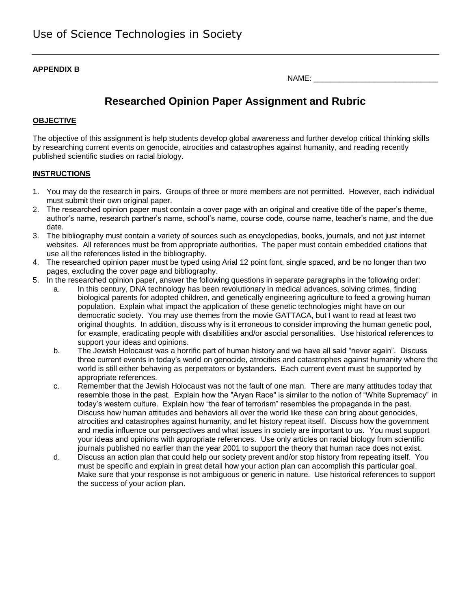#### **APPENDIX B**

| NAME: |  |
|-------|--|
|       |  |

# **Researched Opinion Paper Assignment and Rubric**

### **OBJECTIVE**

The objective of this assignment is help students develop global awareness and further develop critical thinking skills by researching current events on genocide, atrocities and catastrophes against humanity, and reading recently published scientific studies on racial biology.

#### **INSTRUCTIONS**

- 1. You may do the research in pairs. Groups of three or more members are not permitted. However, each individual must submit their own original paper.
- 2. The researched opinion paper must contain a cover page with an original and creative title of the paper's theme, author's name, research partner's name, school's name, course code, course name, teacher's name, and the due date.
- 3. The bibliography must contain a variety of sources such as encyclopedias, books, journals, and not just internet websites. All references must be from appropriate authorities. The paper must contain embedded citations that use all the references listed in the bibliography.
- 4. The researched opinion paper must be typed using Arial 12 point font, single spaced, and be no longer than two pages, excluding the cover page and bibliography.
- 5. In the researched opinion paper, answer the following questions in separate paragraphs in the following order:
	- a. In this century, DNA technology has been revolutionary in medical advances, solving crimes, finding biological parents for adopted children, and genetically engineering agriculture to feed a growing human population. Explain what impact the application of these genetic technologies might have on our democratic society. You may use themes from the movie GATTACA, but I want to read at least two original thoughts. In addition, discuss why is it erroneous to consider improving the human genetic pool, for example, eradicating people with disabilities and/or asocial personalities. Use historical references to support your ideas and opinions.
	- b. The Jewish Holocaust was a horrific part of human history and we have all said "never again". Discuss three current events in today's world on genocide, atrocities and catastrophes against humanity where the world is still either behaving as perpetrators or bystanders. Each current event must be supported by appropriate references.
	- c. Remember that the Jewish Holocaust was not the fault of one man. There are many attitudes today that resemble those in the past. Explain how the "Aryan Race" is similar to the notion of "White Supremacy" in today's western culture. Explain how "the fear of terrorism" resembles the propaganda in the past. Discuss how human attitudes and behaviors all over the world like these can bring about genocides, atrocities and catastrophes against humanity, and let history repeat itself. Discuss how the government and media influence our perspectives and what issues in society are important to us. You must support your ideas and opinions with appropriate references. Use only articles on racial biology from scientific journals published no earlier than the year 2001 to support the theory that human race does not exist.
	- d. Discuss an action plan that could help our society prevent and/or stop history from repeating itself. You must be specific and explain in great detail how your action plan can accomplish this particular goal. Make sure that your response is not ambiguous or generic in nature. Use historical references to support the success of your action plan.